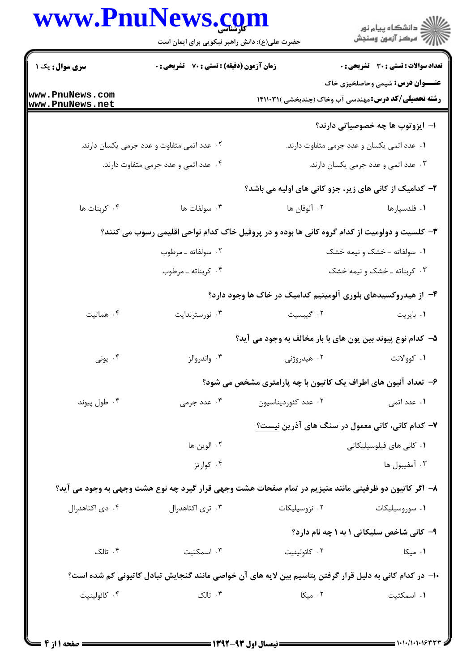|  | www.PnuNews.com                               |
|--|-----------------------------------------------|
|  | حضرت علي(ع): دانش راهبر نيكويي براي ايمان است |

|                                    | www.PnuNews.com<br>حضرت علی(ع): دانش راهبر نیکویی برای ایمان است |                                                                                                         | ڪ دانشڪاه پيام نور<br><mark>ر</mark> ⊽ مرڪز آزمون وسنڊش |
|------------------------------------|------------------------------------------------------------------|---------------------------------------------------------------------------------------------------------|---------------------------------------------------------|
| <b>سری سوال :</b> یک ۱             | <b>زمان آزمون (دقیقه) : تستی : 70 گشریحی : 0</b>                 |                                                                                                         | <b>تعداد سوالات : تستی : 30 - تشریحی : 0</b>            |
| www.PnuNews.com<br>www.PnuNews.net |                                                                  | <b>رشته تحصیلی/کد درس:</b> مهندسی آب وخاک (چندبخشی )۱۴۱۱۰۳۱                                             | <b>عنـــوان درس:</b> شیمی وحاصلخیزی خاک                 |
|                                    |                                                                  |                                                                                                         | ۱– ایزوتوپ ها چه خصوصیاتی دارند؟                        |
|                                    | ۰۲ عدد اتمی متفاوت و عدد جرمی یکسان دارند.                       |                                                                                                         | ٠١ عدد اتمي يكسان و عدد جرمي متفاوت دارند.              |
|                                    | ۰۴ عدد اتمی و عدد جرمی متفاوت دارند.                             |                                                                                                         | ۰۳ عدد اتمی و عدد جرمی یکسان دارند.                     |
|                                    |                                                                  | ۲- کدامیک از کانی های زیر، جزو کانی های اولیه می باشد؟                                                  |                                                         |
| ۰۴ کربنات ها                       | ۰۳ سولفات ها                                                     | ۰۲ آلوفان ها                                                                                            | ۰۱ فلدسپارها                                            |
|                                    |                                                                  | ۳- کلسیت و دولومیت از کدام گروه کانی ها بوده و در پروفیل خاک کدام نواحی اقلیمی رسوب می کنند؟            |                                                         |
|                                    | ۰۲ سولفاته ـ مرطوب                                               |                                                                                                         | ۰۱ سولفاته - خشک و نیمه خشک                             |
|                                    | ۰۴ کربناته ـ مرطوب                                               |                                                                                                         | ۰۳ کربناته ـ خشک و نیمه خشک                             |
|                                    |                                                                  | ۴– از هیدروکسیدهای بلوری آلومینیم کدامیک در خاک ها وجود دارد؟                                           |                                                         |
| ۰۴ هماتیت                          | ۰۳ نورسترندایت                                                   | ٢. گیبسیت                                                                                               | ۰۱ بايريت                                               |
|                                    |                                                                  | ۵- کدام نوع پیوند بین یون های با بار مخالف به وجود می آید؟                                              |                                                         |
| ۰۴ يونې                            | ۰۳ واندروالز                                                     | ۰۲ هیدروژنی                                                                                             | ٠١. كووالانت                                            |
|                                    |                                                                  | ۶– تعداد آنیون های اطراف یک کاتیون با چه پارامتری مشخص می شود؟                                          |                                                         |
| ۰۴ طول پیوند                       | ۰۳ عدد جرمی                                                      | ۰۲ عدد کئوردیناسیون                                                                                     | ۰۱ عدد اتمی                                             |
|                                    |                                                                  | ۷– کدام کانی، کانی معمول در سنگ های آذرین نیست؟                                                         |                                                         |
|                                    | ۰۲ الوين ها                                                      |                                                                                                         | ۰۱ کانی های فیلوسیلیکاتی                                |
|                                    | ۰۴ کوارتز                                                        |                                                                                                         | ۰۳ آمفيبول ها                                           |
|                                    |                                                                  | ۸– اگر کاتیون دو ظرفیتی مانند منیزیم در تمام صفحات هشت وجهی قرار گیرد چه نوع هشت وجهی به وجود می آید؟   |                                                         |
| ۰۴ دی اکتاهدرال                    | ۰۳ تری اکتاهدرال                                                 | ۰۲ نزوسیلیکات                                                                                           | ۰۱ سوروسیلیکات                                          |
|                                    |                                                                  |                                                                                                         | ۹- کانی شاخص سلیکاتی ۱ به ۱ چه نام دارد؟                |
| ۰۴ تالک                            | ۰۳ اسمکتیت                                                       | ۰۲ كائولينيت                                                                                            | ۰۱ میکا                                                 |
|                                    |                                                                  | ∙ا− در کدام کانی به دلیل قرار گرفتن پتاسیم بین لایه های آن خواصی مانند گنجایش تبادل کاتیونی کم شده است؟ |                                                         |
| ۰۴ كائولينيت                       | ۰۳ تالک                                                          | ۰۲ میکا                                                                                                 | ۰۱ اسمکتیت                                              |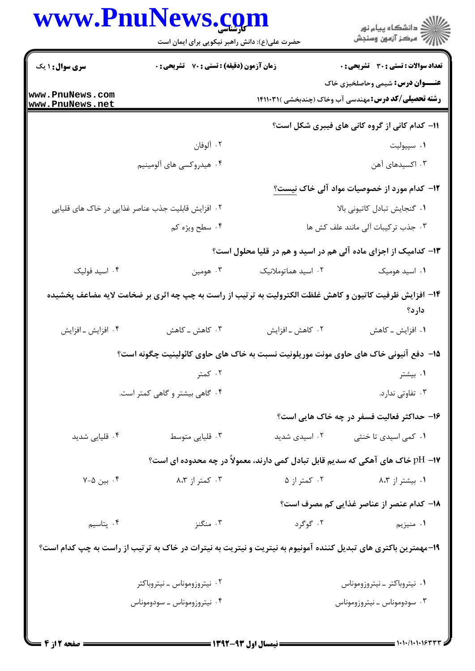|                                                    | حضرت علی(ع): دانش راهبر نیکویی برای ایمان است |                     | ڪ دانشڪاه پيا <sub>م</sub> نور<br>۾ سرڪز آزمون وسنڊش                                                             |
|----------------------------------------------------|-----------------------------------------------|---------------------|------------------------------------------------------------------------------------------------------------------|
| <b>سری سوال : ۱ یک</b>                             | زمان آزمون (دقیقه) : تستی : 70 گشریحی : 0     |                     | <b>تعداد سوالات : تستی : 30 ٪ تشریحی : 0</b>                                                                     |
|                                                    |                                               |                     | <b>عنـــوان درس:</b> شیمی وحاصلخیزی خاک                                                                          |
| www.PnuNews.com<br>www.PnuNews.net                 |                                               |                     | <b>رشته تحصیلی/کد درس:</b> مهندسی آب وخاک (چندبخشی )۱۴۱۱۰۳۱                                                      |
|                                                    |                                               |                     | 11- کدام کانی از گروه کانی های فیبری شکل است؟                                                                    |
|                                                    | ۰۲ آلوفان                                     |                     | ۰۱ سپیولیت                                                                                                       |
|                                                    | ۰۴ هیدروکسی های آلومینیم                      |                     | ۰۳ اکسیدهای آهن                                                                                                  |
|                                                    |                                               |                     | ۱ <b>۲</b> – کدام مورد از خصوصیات مواد آلی خاک <u>نیست؟</u>                                                      |
| ۲. افزایش قابلیت جذب عناصر غذایی در خاک های قلیایی |                                               |                     | ۰۱ گنجایش تبادل کاتیونی بالا                                                                                     |
|                                                    | ۰۴ سطح ويژه كم                                |                     | ٠٣ جذب تركيبات آلى مانند علف كش ها                                                                               |
|                                                    |                                               |                     | ۱۳- کدامیک از اجزای ماده آلی هم در اسید و هم در قلیا محلول است؟                                                  |
| ۰۴ اسید فولیک                                      | ۰۳ هومین                                      | ۰۲ اسید هماتوملانیک | ۰۱ اسید هومیک                                                                                                    |
|                                                    |                                               |                     | ۱۴- افزایش ظرفیت کاتیون و کاهش غلظت الکترولیت به ترتیب از راست به چپ چه اثری بر ضخامت لایه مضاعف پخشیده<br>دارد؟ |
| ۰۴ افزايش _ افزايش                                 | ۰۳ کاهش ــ کاهش                               | ۰۲ کاهش ـ افزايش    | ۰۱ افزایش _ کاهش                                                                                                 |
|                                                    |                                               |                     | ۱۵– دفع آنیونی خاک های حاوی مونت موریلونیت نسبت به خاک های حاوی کائولینیت چگونه است؟                             |
|                                                    | ۰۲ کمتر                                       |                     | ۰۱ بیشتر                                                                                                         |
|                                                    | ۰۴ گاهی بیشتر و گاهی کمتر است.                |                     | ۰۳ تفاوتی ندارد.                                                                                                 |
|                                                    |                                               |                     | ۱۶– حداکثر فعالیت فسفر در چه خاک هایی است؟                                                                       |
| ۰۴ قلیایی شدید                                     | ۰۳ قلیایی متوسط                               | ۰۲ اسیدی شدید       | ۰۱ کمی اسیدی تا خنثی                                                                                             |
|                                                    |                                               |                     | ۱۷– pH خاک های آهکی که سدیم قابل تبادل کمی دارند، معمولاً در چه محدوده ای است؟                                   |
| ۰۴ بین ۲-۵                                         | ۰۳ کمتر از ۸،۳                                | ۰۲ کمتر از ۵        | ۰۱ بیشتر از ۸،۳                                                                                                  |
|                                                    |                                               |                     | 1۸– کدام عنصر از عناصر غذایی کم مصرف است؟                                                                        |
| ۰۴ پتاسیم                                          | ۰۳ منگنز                                      | ۰۲ گوگرد            | ۰۱ منیزیم                                                                                                        |
|                                                    |                                               |                     | ۱۹-مهمترین باکتری های تبدیل کننده آمونیوم به نیتریت و نیتریت به نیترات در خاک به ترتیب از راست به چپ کدام است؟   |
|                                                    | ۰۲ نیتروزوموناس ـ نیتروباکتر                  |                     | ٠١ نيتروباكتر ـ نيتروزوموناس                                                                                     |
|                                                    | ۰۴ نیتروزوموناس ـ سودوموناس                   |                     | ۰۳ سودوموناس ـ نيتروزوموناس                                                                                      |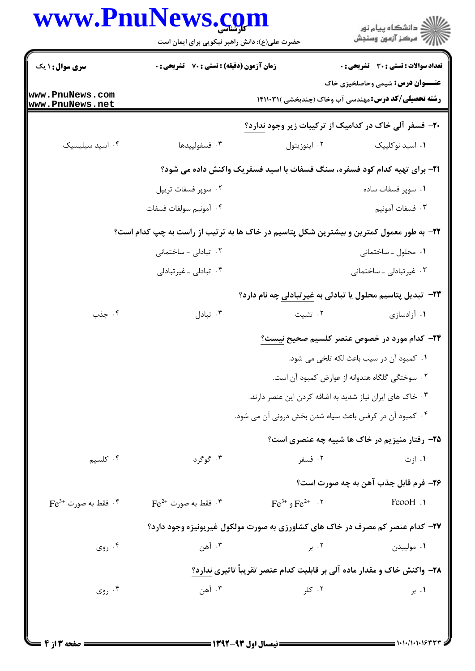| <b>www.PnuNews.co</b>                  | حضرت علی(ع): دانش راهبر نیکویی برای ایمان است                                           |                                                        | ≦ دانشڪاه پيام نور<br>√ مرڪز آزمون وسنڊش                                                               |
|----------------------------------------|-----------------------------------------------------------------------------------------|--------------------------------------------------------|--------------------------------------------------------------------------------------------------------|
| <b>سری سوال : ۱ یک</b>                 | <b>زمان آزمون (دقیقه) : تستی : 70 قشریحی : 0</b>                                        |                                                        | <b>تعداد سوالات : تستي : 30 ٪ تشريحي : 0</b>                                                           |
| www.PnuNews.com<br>www.PnuNews.net     |                                                                                         |                                                        | <b>عنـــوان درس:</b> شیمی وحاصلخیزی خاک<br><b>رشته تحصیلی/کد درس:</b> مهندسی آب وخاک (چندبخشی )۱۴۱۱۰۳۱ |
|                                        |                                                                                         |                                                        | ۲۰- فسفر آلی خاک در کدامیک از ترکیبات زیر وجود ندارد؟                                                  |
| ۰۴ اسید سیلیسیک                        | ۰۳ فسفولپيدها                                                                           | ٠٢ اينوزيتول                                           | ٠١. اسيد نوكلييك                                                                                       |
|                                        |                                                                                         |                                                        | ۲۱- برای تهیه کدام کود فسفره، سنگ فسفات با اسید فسفریک واکنش داده می شود؟                              |
|                                        | ۰۲ سوپر فسفات تريپل                                                                     |                                                        | ۰۱ سوپر فسفات ساده                                                                                     |
|                                        | ۰۴ آمونيم سولفات فسفات                                                                  |                                                        | ۰۳ فسفات آمونيم                                                                                        |
|                                        | ۲۲- به طور معمول کمترین و بیشترین شکل پتاسیم در خاک ها به ترتیب از راست به چپ کدام است؟ |                                                        |                                                                                                        |
|                                        | ۰۲ تبادلی - ساختمانی                                                                    |                                                        | ۰۱ محلول ـ ساختمانی                                                                                    |
|                                        | ۰۴ تبادلی ـ غیرتبادلی                                                                   |                                                        | ۰۳ غیرتبادلی ـ ساختمانی                                                                                |
|                                        |                                                                                         |                                                        | <b>۲۳</b> - تبدیل پتاسیم محلول یا تبادلی به غیرتبادلی چه نام دارد؟                                     |
| ۰۴ جذب                                 | ۰۳ تبادل                                                                                | ۰۲ تثبیت                                               | ۰۱ آزادسازی                                                                                            |
|                                        |                                                                                         |                                                        | <b>۲۴</b> - کدام مورد در خصوص عنصر کلسیم صحیح نیست؟                                                    |
|                                        |                                                                                         |                                                        | ٠١ كمبود آن در سيب باعث لكه تلخي مي شود.                                                               |
|                                        |                                                                                         |                                                        | ۰۲ سوختگی گلگاه هندوانه از عوارض کمبود آن است.                                                         |
|                                        |                                                                                         |                                                        | ۰۳ خاک های ایران نیاز شدید به اضافه کردن این عنصر دارند.                                               |
|                                        |                                                                                         | ۰۴ کمبود آن در کرفس باعث سیاه شدن بخش درونی آن می شود. |                                                                                                        |
|                                        |                                                                                         |                                                        | ۲۵- رفتار منیزیم در خاک ها شبیه چه عنصری است؟                                                          |
| ۰۴ کلسیم                               | ۰۳ گوگرد                                                                                | ۰۲ فسفر                                                | ۰۱ ازت                                                                                                 |
|                                        |                                                                                         |                                                        | ۲۶- فرم قابل جذب آهن به چه صورت است؟                                                                   |
| $\text{Fe}^{3+}$ فقط به صورت $\cdot$ * | $\rm{Fe}^{2+}$ فقط به صورت $\rm{^3}$ . $\rm{^7}$                                        | $\text{Fe}^{3+}$ و $\text{Fe}^{2+}$ . $\text{N}$       | FeooH .                                                                                                |
|                                        |                                                                                         |                                                        | ۲۷- کدام عنصر کم مصرف در خاک های کشاورزی به صورت مولکول غیریونیزه وجود دارد؟                           |
| ۰۴ روی                                 | ۰۳ آهن                                                                                  | ۰۲ بر                                                  | ۰۱ مولیبدن                                                                                             |
|                                        |                                                                                         |                                                        | ۲۸- واکنش خاک و مقدار ماده آلی بر قابلیت کدام عنصر تقریباً تاثیری ندارد؟                               |
| ۰۴ روی                                 | ۰۳ آهن                                                                                  | ۰۲ کلر                                                 | ۰۱ بر                                                                                                  |